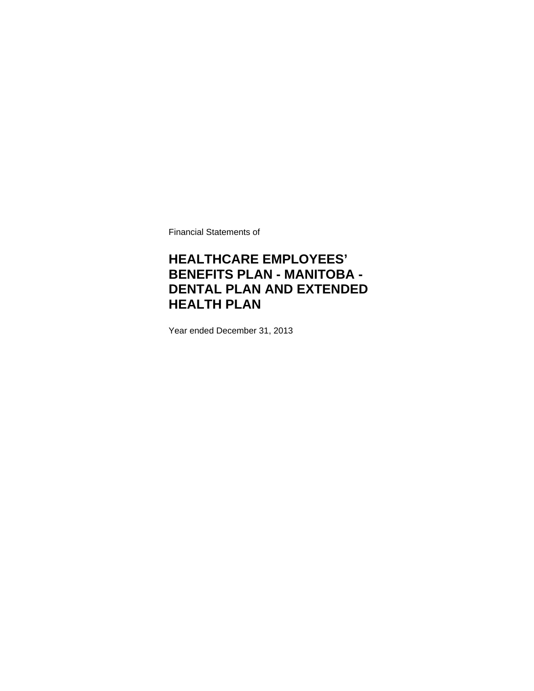Financial Statements of

# **HEALTHCARE EMPLOYEES' BENEFITS PLAN - MANITOBA - DENTAL PLAN AND EXTENDED HEALTH PLAN**

Year ended December 31, 2013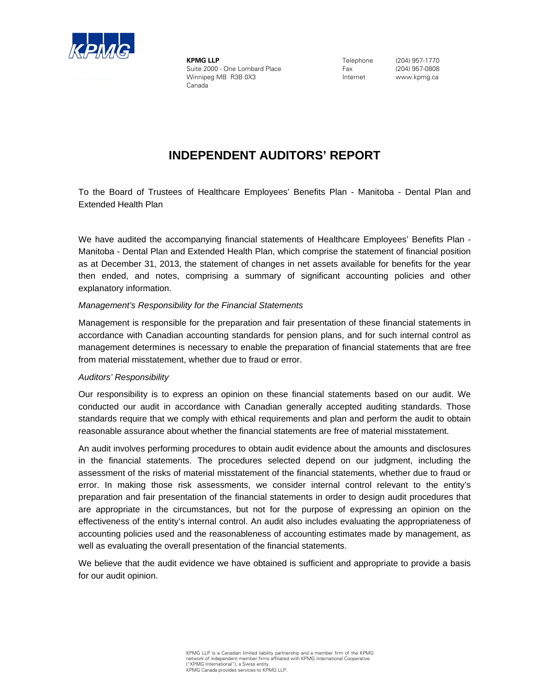

**KPMG LLP** Suite 2000 - One Lombard Place Winnipeg MB R3B 0X3 Canada

Telephone Fax Internet

(204) 957-1770 (204) 957-0808 www.kpmg.ca

# **INDEPENDENT AUDITORS' REPORT**

To the Board of Trustees of Healthcare Employees' Benefits Plan - Manitoba - Dental Plan and Extended Health Plan

We have audited the accompanying financial statements of Healthcare Employees' Benefits Plan - Manitoba - Dental Plan and Extended Health Plan, which comprise the statement of financial position as at December 31, 2013, the statement of changes in net assets available for benefits for the year then ended, and notes, comprising a summary of significant accounting policies and other explanatory information.

#### *Management's Responsibility for the Financial Statements*

Management is responsible for the preparation and fair presentation of these financial statements in accordance with Canadian accounting standards for pension plans, and for such internal control as management determines is necessary to enable the preparation of financial statements that are free from material misstatement, whether due to fraud or error.

#### *Auditors' Responsibility*

Our responsibility is to express an opinion on these financial statements based on our audit. We conducted our audit in accordance with Canadian generally accepted auditing standards. Those standards require that we comply with ethical requirements and plan and perform the audit to obtain reasonable assurance about whether the financial statements are free of material misstatement.

An audit involves performing procedures to obtain audit evidence about the amounts and disclosures in the financial statements. The procedures selected depend on our judgment, including the assessment of the risks of material misstatement of the financial statements, whether due to fraud or error. In making those risk assessments, we consider internal control relevant to the entity's preparation and fair presentation of the financial statements in order to design audit procedures that are appropriate in the circumstances, but not for the purpose of expressing an opinion on the effectiveness of the entity's internal control. An audit also includes evaluating the appropriateness of accounting policies used and the reasonableness of accounting estimates made by management, as well as evaluating the overall presentation of the financial statements.

We believe that the audit evidence we have obtained is sufficient and appropriate to provide a basis for our audit opinion.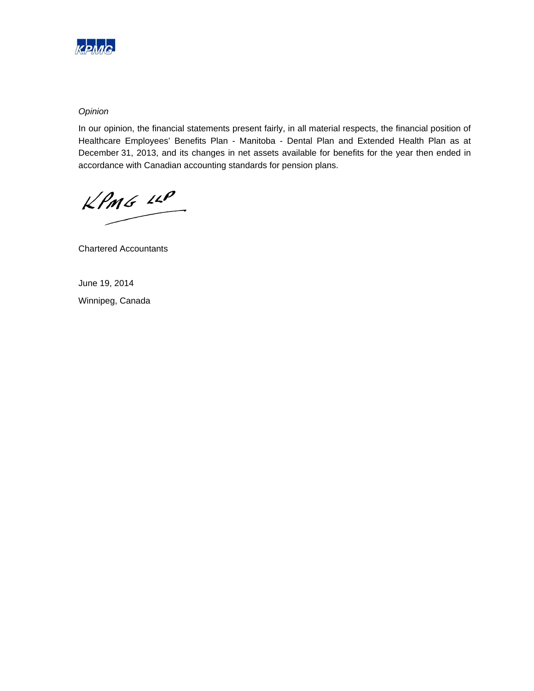

#### *Opinion*

In our opinion, the financial statements present fairly, in all material respects, the financial position of Healthcare Employees' Benefits Plan - Manitoba - Dental Plan and Extended Health Plan as at December 31, 2013, and its changes in net assets available for benefits for the year then ended in accordance with Canadian accounting standards for pension plans.

 $KPMG$  12P

Chartered Accountants

June 19, 2014 Winnipeg, Canada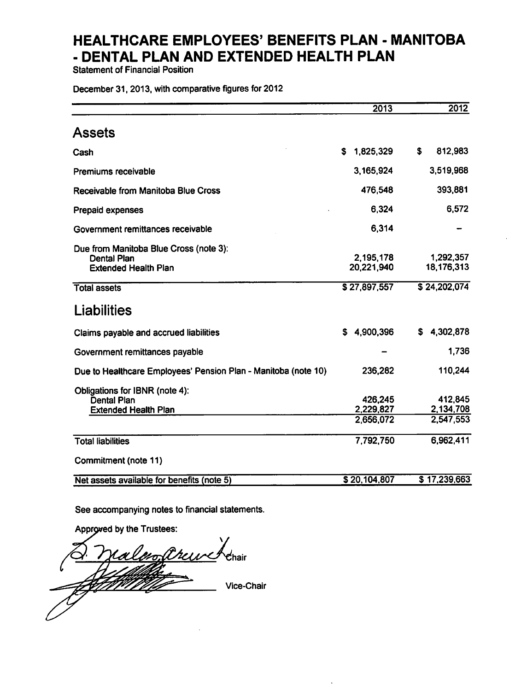**Statement of Financial Position** 

December 31, 2013, with comparative figures for 2012

|                                                                                             | 2013                              | 2012                              |
|---------------------------------------------------------------------------------------------|-----------------------------------|-----------------------------------|
| <b>Assets</b>                                                                               |                                   |                                   |
| Cash                                                                                        | 1,825,329<br>S                    | \$<br>812,983                     |
| Premiums receivable                                                                         | 3,165,924                         | 3,519,968                         |
| Receivable from Manitoba Blue Cross                                                         | 476,548                           | 393,881                           |
| <b>Prepaid expenses</b>                                                                     | 6,324                             | 6,572                             |
| Government remittances receivable                                                           | 6,314                             |                                   |
| Due from Manitoba Blue Cross (note 3):<br><b>Dental Plan</b><br><b>Extended Health Plan</b> | 2,195,178<br>20,221,940           | 1,292,357<br>18,176,313           |
| <b>Total assets</b>                                                                         | \$27,897,557                      | \$24,202,074                      |
| <b>Liabilities</b>                                                                          |                                   |                                   |
| Claims payable and accrued liabilities                                                      | \$4,900,396                       | \$4,302,878                       |
| Government remittances payable                                                              |                                   | 1,736                             |
| Due to Healthcare Employees' Pension Plan - Manitoba (note 10)                              | 236,282                           | 110,244                           |
| Obligations for IBNR (note 4):<br><b>Dental Plan</b><br><b>Extended Health Plan</b>         | 426,245<br>2,229,827<br>2,656,072 | 412,845<br>2,134,708<br>2,547,553 |
| <b>Total liabilities</b>                                                                    | 7,792,750                         | 6,962,411                         |
| Commitment (note 11)                                                                        |                                   |                                   |
| Net assets available for benefits (note 5)                                                  | \$20,104,807                      | $\overline{5}$ 17,239,663         |

See accompanying notes to financial statements.

Approved by the Trustees:

no. anesses e<br>Chair Vice-Chair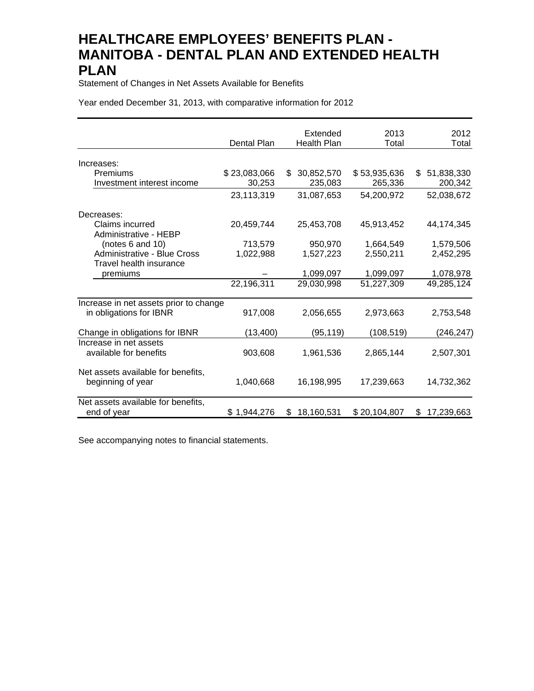Statement of Changes in Net Assets Available for Benefits

Year ended December 31, 2013, with comparative information for 2012

|                                        | Dental Plan  | Extended<br><b>Health Plan</b> | 2013<br>Total | 2012<br>Total    |
|----------------------------------------|--------------|--------------------------------|---------------|------------------|
|                                        |              |                                |               |                  |
| Increases:                             |              |                                |               |                  |
| Premiums                               | \$23,083,066 | 30,852,570<br>\$               | \$53,935,636  | 51,838,330<br>\$ |
| Investment interest income             | 30,253       | 235,083                        | 265,336       | 200,342          |
|                                        | 23,113,319   | 31,087,653                     | 54,200,972    | 52,038,672       |
| Decreases:                             |              |                                |               |                  |
| Claims incurred                        | 20,459,744   | 25,453,708                     | 45,913,452    | 44, 174, 345     |
| Administrative - HEBP                  |              |                                |               |                  |
| (notes 6 and 10)                       | 713,579      | 950,970                        | 1,664,549     | 1,579,506        |
| Administrative - Blue Cross            | 1,022,988    | 1,527,223                      | 2,550,211     | 2,452,295        |
| <b>Travel health insurance</b>         |              |                                |               |                  |
| premiums                               |              | 1,099,097                      | 1,099,097     | 1,078,978        |
|                                        | 22,196,311   | 29,030,998                     | 51,227,309    | 49,285,124       |
| Increase in net assets prior to change |              |                                |               |                  |
| in obligations for IBNR                | 917,008      | 2,056,655                      | 2,973,663     | 2,753,548        |
| Change in obligations for IBNR         | (13, 400)    | (95,119)                       | (108, 519)    | (246,247)        |
| Increase in net assets                 |              |                                |               |                  |
| available for benefits                 | 903,608      | 1,961,536                      | 2,865,144     | 2,507,301        |
| Net assets available for benefits,     |              |                                |               |                  |
| beginning of year                      | 1,040,668    | 16,198,995                     | 17,239,663    | 14,732,362       |
| Net assets available for benefits,     |              |                                |               |                  |
| end of year                            | \$1,944,276  | 18,160,531<br>\$               | \$20,104,807  | 17,239,663<br>\$ |

See accompanying notes to financial statements.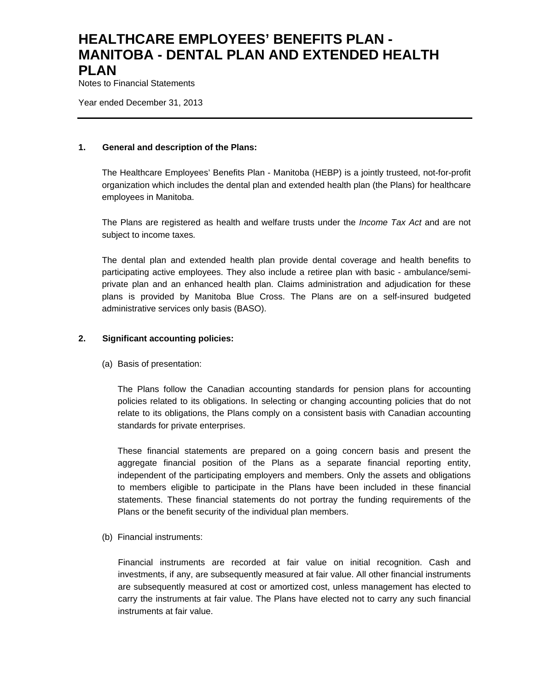Notes to Financial Statements

Year ended December 31, 2013

#### **1. General and description of the Plans:**

The Healthcare Employees' Benefits Plan - Manitoba (HEBP) is a jointly trusteed, not-for-profit organization which includes the dental plan and extended health plan (the Plans) for healthcare employees in Manitoba.

The Plans are registered as health and welfare trusts under the *Income Tax Act* and are not subject to income taxes*.*

The dental plan and extended health plan provide dental coverage and health benefits to participating active employees. They also include a retiree plan with basic - ambulance/semiprivate plan and an enhanced health plan. Claims administration and adjudication for these plans is provided by Manitoba Blue Cross. The Plans are on a self-insured budgeted administrative services only basis (BASO).

#### **2. Significant accounting policies:**

(a) Basis of presentation:

The Plans follow the Canadian accounting standards for pension plans for accounting policies related to its obligations. In selecting or changing accounting policies that do not relate to its obligations, the Plans comply on a consistent basis with Canadian accounting standards for private enterprises.

These financial statements are prepared on a going concern basis and present the aggregate financial position of the Plans as a separate financial reporting entity, independent of the participating employers and members. Only the assets and obligations to members eligible to participate in the Plans have been included in these financial statements. These financial statements do not portray the funding requirements of the Plans or the benefit security of the individual plan members.

(b) Financial instruments:

Financial instruments are recorded at fair value on initial recognition. Cash and investments, if any, are subsequently measured at fair value. All other financial instruments are subsequently measured at cost or amortized cost, unless management has elected to carry the instruments at fair value. The Plans have elected not to carry any such financial instruments at fair value.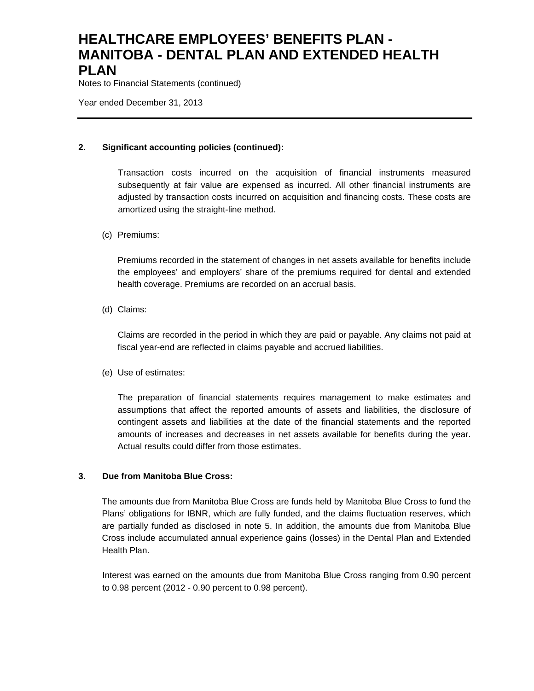Notes to Financial Statements (continued)

Year ended December 31, 2013

#### **2. Significant accounting policies (continued):**

Transaction costs incurred on the acquisition of financial instruments measured subsequently at fair value are expensed as incurred. All other financial instruments are adjusted by transaction costs incurred on acquisition and financing costs. These costs are amortized using the straight-line method.

#### (c) Premiums:

Premiums recorded in the statement of changes in net assets available for benefits include the employees' and employers' share of the premiums required for dental and extended health coverage. Premiums are recorded on an accrual basis.

(d) Claims:

Claims are recorded in the period in which they are paid or payable. Any claims not paid at fiscal year-end are reflected in claims payable and accrued liabilities.

(e) Use of estimates:

The preparation of financial statements requires management to make estimates and assumptions that affect the reported amounts of assets and liabilities, the disclosure of contingent assets and liabilities at the date of the financial statements and the reported amounts of increases and decreases in net assets available for benefits during the year. Actual results could differ from those estimates.

#### **3. Due from Manitoba Blue Cross:**

The amounts due from Manitoba Blue Cross are funds held by Manitoba Blue Cross to fund the Plans' obligations for IBNR, which are fully funded, and the claims fluctuation reserves, which are partially funded as disclosed in note 5. In addition, the amounts due from Manitoba Blue Cross include accumulated annual experience gains (losses) in the Dental Plan and Extended Health Plan.

Interest was earned on the amounts due from Manitoba Blue Cross ranging from 0.90 percent to 0.98 percent (2012 - 0.90 percent to 0.98 percent).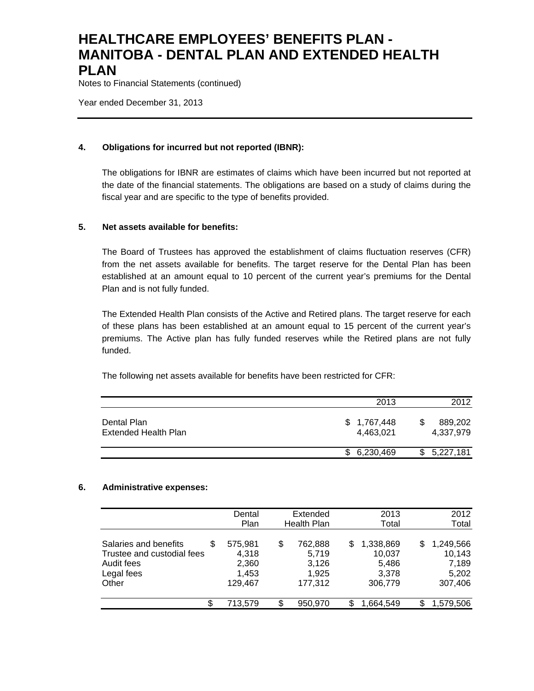Notes to Financial Statements (continued)

Year ended December 31, 2013

#### **4. Obligations for incurred but not reported (IBNR):**

The obligations for IBNR are estimates of claims which have been incurred but not reported at the date of the financial statements. The obligations are based on a study of claims during the fiscal year and are specific to the type of benefits provided.

#### **5. Net assets available for benefits:**

The Board of Trustees has approved the establishment of claims fluctuation reserves (CFR) from the net assets available for benefits. The target reserve for the Dental Plan has been established at an amount equal to 10 percent of the current year's premiums for the Dental Plan and is not fully funded.

The Extended Health Plan consists of the Active and Retired plans. The target reserve for each of these plans has been established at an amount equal to 15 percent of the current year's premiums. The Active plan has fully funded reserves while the Retired plans are not fully funded.

The following net assets available for benefits have been restricted for CFR:

|                                     | 2013                     | 2012                 |
|-------------------------------------|--------------------------|----------------------|
| Dental Plan<br>Extended Health Plan | \$1,767,448<br>4.463.021 | 889,202<br>4.337.979 |
|                                     | \$6,230,469              | 5,227,181            |

#### **6. Administrative expenses:**

|                                                                                               | Dental<br>Plan                                | Extended<br><b>Health Plan</b>                      | 2013<br>Total                                         | 2012<br>Total                                         |
|-----------------------------------------------------------------------------------------------|-----------------------------------------------|-----------------------------------------------------|-------------------------------------------------------|-------------------------------------------------------|
| Salaries and benefits<br>S<br>Trustee and custodial fees<br>Audit fees<br>Legal fees<br>Other | 575,981<br>4,318<br>2,360<br>1,453<br>129,467 | \$<br>762,888<br>5,719<br>3,126<br>1,925<br>177.312 | 1,338,869<br>S<br>10,037<br>5,486<br>3.378<br>306,779 | 1,249,566<br>S<br>10,143<br>7,189<br>5,202<br>307,406 |
| \$                                                                                            | 713.579                                       | \$<br>950,970                                       | S<br>1,664,549                                        | S<br>1,579,506                                        |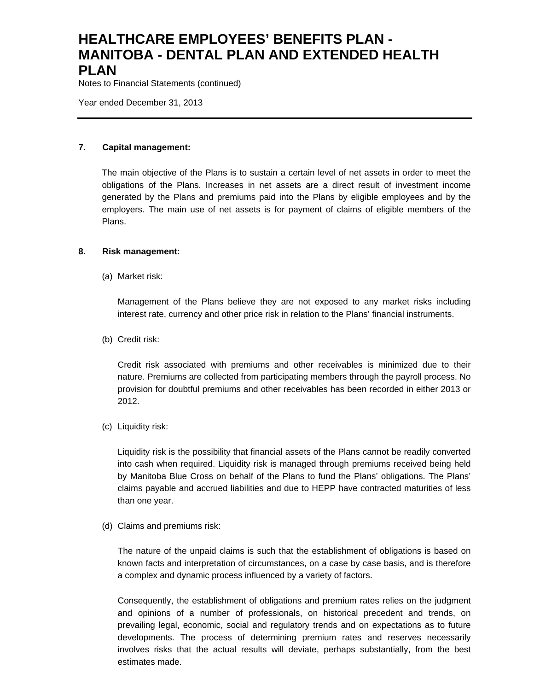Notes to Financial Statements (continued)

Year ended December 31, 2013

#### **7. Capital management:**

The main objective of the Plans is to sustain a certain level of net assets in order to meet the obligations of the Plans. Increases in net assets are a direct result of investment income generated by the Plans and premiums paid into the Plans by eligible employees and by the employers. The main use of net assets is for payment of claims of eligible members of the Plans.

#### **8. Risk management:**

(a) Market risk:

Management of the Plans believe they are not exposed to any market risks including interest rate, currency and other price risk in relation to the Plans' financial instruments.

(b) Credit risk:

Credit risk associated with premiums and other receivables is minimized due to their nature. Premiums are collected from participating members through the payroll process. No provision for doubtful premiums and other receivables has been recorded in either 2013 or 2012.

(c) Liquidity risk:

Liquidity risk is the possibility that financial assets of the Plans cannot be readily converted into cash when required. Liquidity risk is managed through premiums received being held by Manitoba Blue Cross on behalf of the Plans to fund the Plans' obligations. The Plans' claims payable and accrued liabilities and due to HEPP have contracted maturities of less than one year.

(d) Claims and premiums risk:

The nature of the unpaid claims is such that the establishment of obligations is based on known facts and interpretation of circumstances, on a case by case basis, and is therefore a complex and dynamic process influenced by a variety of factors.

Consequently, the establishment of obligations and premium rates relies on the judgment and opinions of a number of professionals, on historical precedent and trends, on prevailing legal, economic, social and regulatory trends and on expectations as to future developments. The process of determining premium rates and reserves necessarily involves risks that the actual results will deviate, perhaps substantially, from the best estimates made.